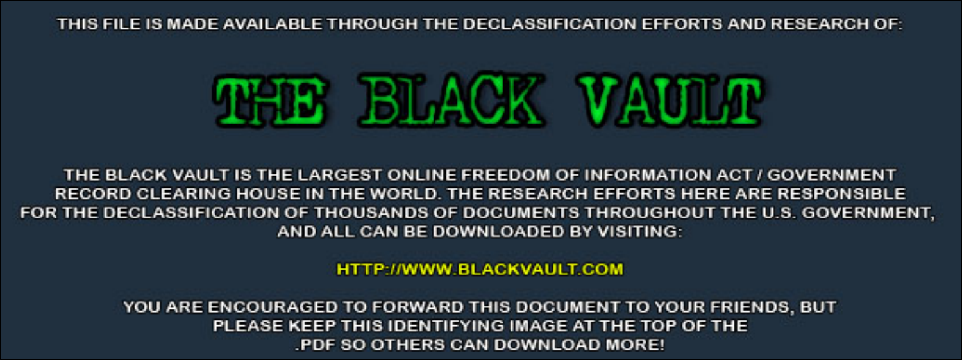THIS FILE IS MADE AVAILABLE THROUGH THE DECLASSIFICATION EFFORTS AND RESEARCH OF:



THE BLACK VAULT IS THE LARGEST ONLINE FREEDOM OF INFORMATION ACT / GOVERNMENT RECORD CLEARING HOUSE IN THE WORLD. THE RESEARCH EFFORTS HERE ARE RESPONSIBLE FOR THE DECLASSIFICATION OF THOUSANDS OF DOCUMENTS THROUGHOUT THE U.S. GOVERNMENT, AND ALL CAN BE DOWNLOADED BY VISITING:

**HTTP://WWW.BLACKVAULT.COM** 

YOU ARE ENCOURAGED TO FORWARD THIS DOCUMENT TO YOUR FRIENDS, BUT PLEASE KEEP THIS IDENTIFYING IMAGE AT THE TOP OF THE PDF SO OTHERS CAN DOWNLOAD MORE!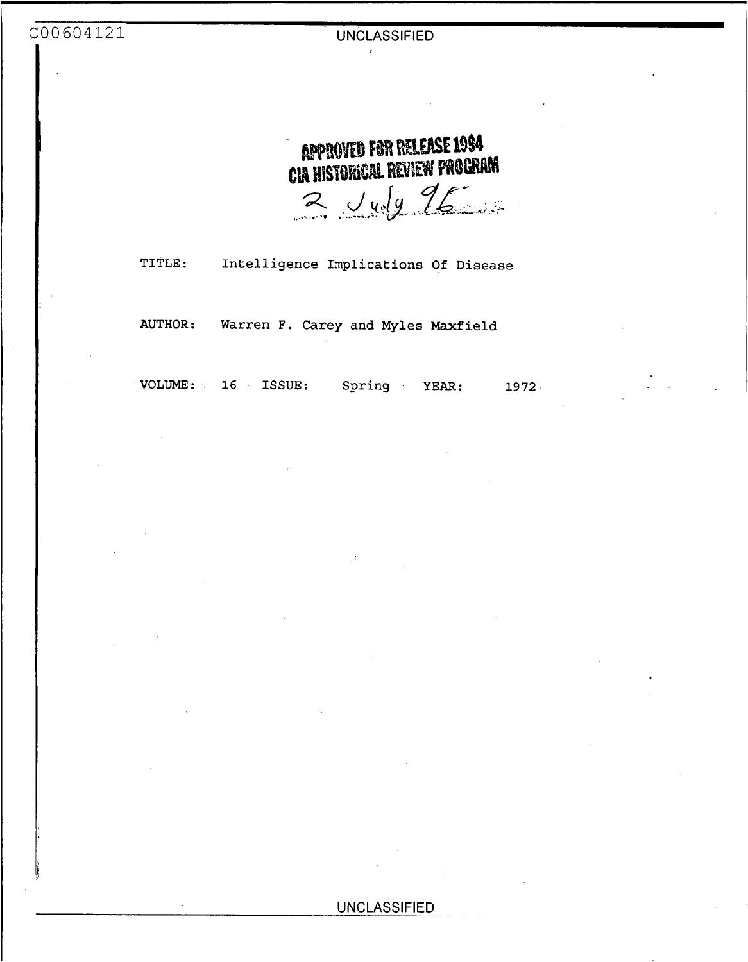**APPROVED FOR RELEASE 1994** CIA HISTORICAL REVIEW PROGRAM  $2$  Judy  $16$ 

**TITLE: Intelligence Implications** *Of* **Disease** 

**AUTHOR: Warren F. Carey and Myles Maxfield** 

**.VOLUME:** .. **16 ISSUE: Spring YEAR: 1972**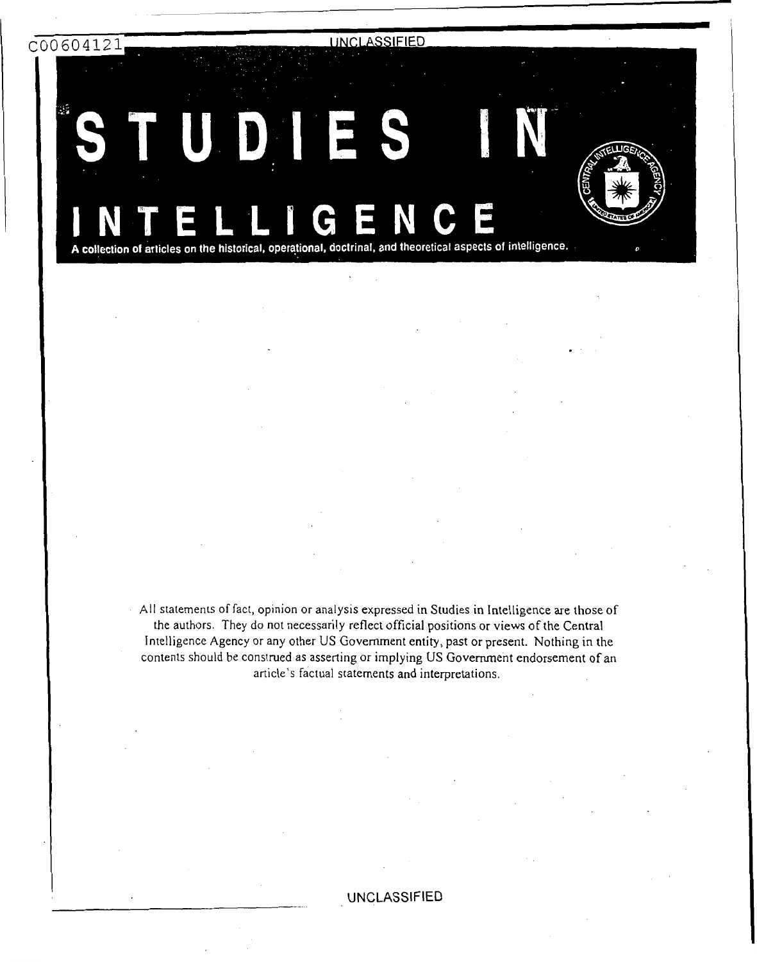c00604121

ίś,

**UNCLASSIFIED** 

.

 $D_1$ ES J

A collection of articles on the historical, operational, doctrinal, and theoretical aspects of intelligence.

All statements of fact, opinion or analysis expressed in Studies in Intelligence are those of the authors. They do not necessarily reflect official positions or views of the Central Intelligence Agency or any other US Government entity, past or present. Nothing in the contents should be construed as asserting or implying US Government endorsement of an article's factual statements and interpretations.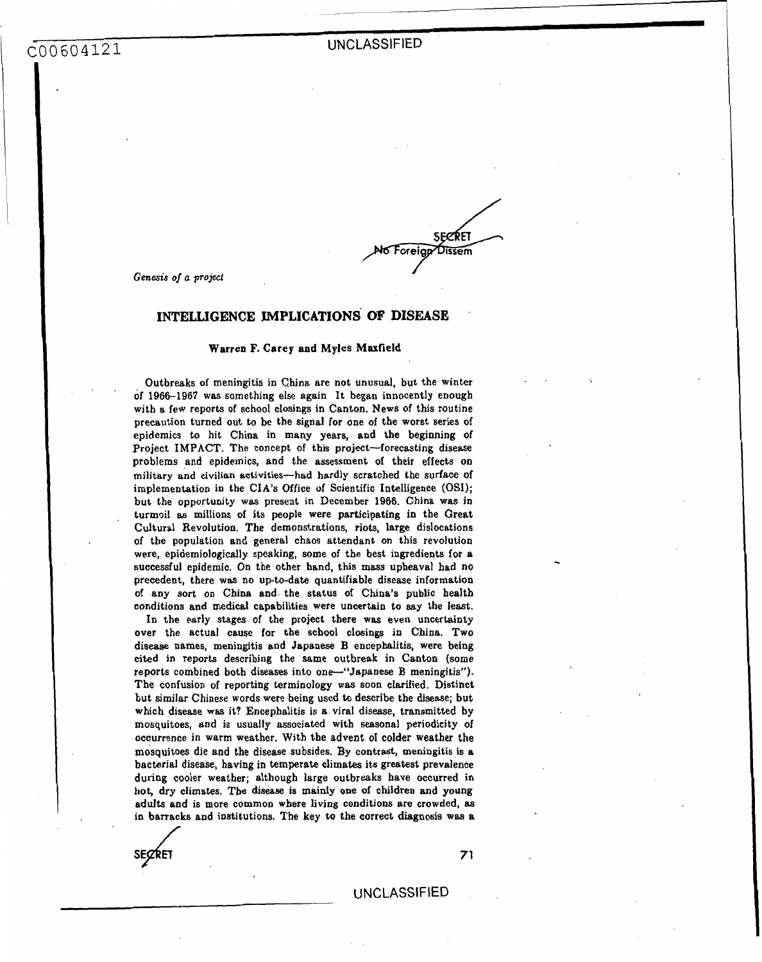ASSIFIED<br>
No Foreign Dissem<br>
No Foreign Dissem<br> **OR PASSIST** 

I

*Genesis oj a* **project** 

### **INTELLIGENCE IMPLICATIONS OF DISEASE**

### Warren **F.** Carey and Myles **Maxfield**

Outbreaks of meningitis in China are not unusual, but the winter of **1966-1967** was something else again It began innocently enough with **a** few reports of school closings in Canton. News of this routine precaution turned out to be the signal for one of the worst series of epidemics to hit China in many years, and the beginning of Project IMPACT. The concept of this project-forecasting disease problems and epidemics, and the assessment of their effects on military **and** civilian activities-had hardly scratched the surface of implementation in the CIA'S Office of Scientific Intelligence (OSI); but the opportunity **was** present in December **1966.** China was in turmoil **as** millions of its people were participating in the Great Cultural Revolution. The demonstrations, riots, large dislocations of the population and general chaos attendant on this revolution were, epidemiologically speaking, some of the best ingredients for a successful epidemic. **On** the other hand, this mass upheaval had no precedent, there was no up-to-date quantifiable disease information **01** any sort on China and the status of China's public health conditions and medical capabilities were uncertain **to** say the least.

**In** the early **stages** of the project there **was** even uncertainty over the actual cause for the school closings in China. Two disease names, meningitis and Japanese B encephalitis, were being cited in reports describing the same outbreak in Canton (some reports combined both diseases into one-"Japanese B meningitis"). The confusion of reporting terminology was soon clarified. Distinct but similar Chinese words were being used **to** describe the disease; but which disease was it? Encephalitis is **a** viral disease, transmitted by mosquitoes, and is usually associated with seasonal periodicity of occurrence in warm weather. With the advent of colder weather the mosquitoes die and the disease subsides, **By** contrast, meningitis **is** a bacterial disease, having in temperate climates its greatest prevalence during cooler weather; although large outbreaks have occurred in hot, dry climates. The disease is mainly one of children and young adults and is more common where **living** conditions are crowded, **as**  in barracks and institutions. The key **to** the correct diagnosis **was a** 

**SECRET 71** 

,

U NC **LASS1** F **I** ED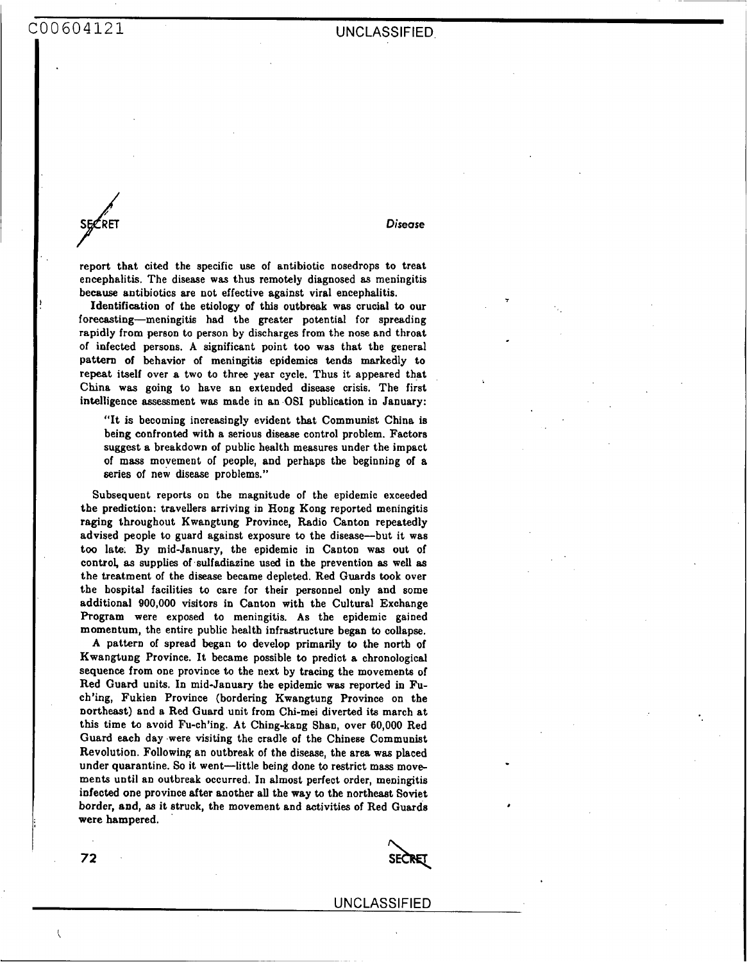**SECRET** *Disease* 

*72* 

 $\left\{ \right.$ 

**T** 

,

report that cited the specific use of antibiotic nosedrops to treat encephalitis. The disease was thus remotely diagnosed **as** meningitis because antibiotics are not effective against viral encephalitis.

Identification of the etiology of this outbreak was crucial *to* our forecasting-meningitis had the greater potential for spreading rapidly from person to person by discharges from the nose and throat of infected persons, A significant point too was that the general pattern of behavior of meningitis epidemics tends markedly to repeat itself over **a** two to three year cycle. Thus it appeared that China was going to have an extended disease crisis. The first intelligence assessment **was** made in an **OS1** publication in January:

"It is becoming increasingly evident that Communist China is being confronted with a serious disease control problem. Factors suggest a breakdown of public health measures under the impact of mass movement of people, and perhaps the beginning of a series of new disease problems."

Subsequent reports on the magnitude of the epidemic exceeded the prediction: travellers arriving **in** Hong **Kong** reported meningitis **raging** throughout Kwangtung Province, Radio Canton repeatedly advised people to guard against exposure to the disease-but it was too late. By mid-January, the epidemic in Canton was **out** of control, **as** supplies of sulfadiazine used in the prevention *8s* well **as**  the treatment of the disease became depleted. Red Guards **took** over the hospital facilities to care for their **personnel** only and some additional 900,000 visitors in Canton with the Cultural Exchange Program were exposed to meningitis. **As** the epidemic gained momentum, the entire public health infrastructure began to collapse.

A pattern of spread began to develop primarily to the north of Kwangtung Province. It became possible to predict a chronological sequence from one province to the next by tracing the movements of Red Guard units. **In** mid-January the epidemic was reported in Fuch'ing, Fukien Province (bordering Kwangtung Province on the northeast) and a Red Guard unit from Chi-mei diverted its march at this time **to** avoid Fu-ch'ing. At Ching-kang Shan, over 60,000 Red **Guard** each day were visiting the cradle of the Chinese Communist Revolution. Following an outbreak of the disease, the area **was** placed under quarantine. So it went-little being done to restrict mass movements until an outbreak occurred. In almost perfect order, meningitis infected one province after another all the way to the northeast Soviet border, and, **as** it struck, the movement and activities of Red Guards were hampered.

SECRET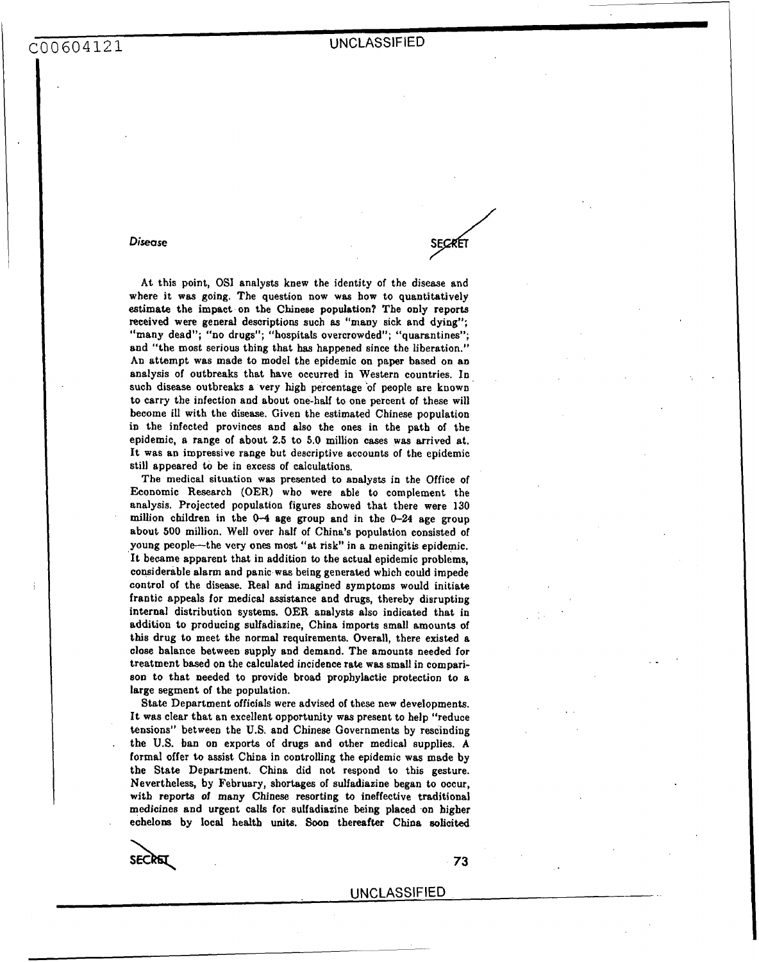*Disease* 

At this point, **OS1** analysts knew the identity of the disease and where it **was** going. The question now **was** how to quantitatively estimate the impact on tbe Chinese population? The only reports received were general descriptions such **as** "many sick and dying"; "many dead"; "no drugs"; "hospitals overcrowded"; "quarantines" and "the most serious thing that **has** happened since the liberation." An attempt was made to model the epidemic on paper based on an analysis of outbreaks that have occurred in Western countries. In such disease outbreaks a very high percentage of people are known to carry the infection and about one-half to one percent of these will become ill with the disease. Given the estimated Chinese population in the infected provinces and also the **ones** in the path of the epidemic, a range of about **2.5** to **5.0** million cases was arrived at. It was an impressive range but descriptive accounts of the epidemic still appeared to be in excess of calculations.

The medical situation **was** presented to analysts in the Office of Economic Research **(OER)** who were able to complement the analysis. Projected population figures showed that there were **130**  million children in the *0-4* age group and in the **0-24** age group about **500** million. Well over half of China's population consisted of **young** people-the very **one** most "at risk" in **a** meningitis epidemic. It became apparent that in addition to the actual epidemic problems, considerable alarm and panic was being generated which could impede control of the disease. Real and imagined symptoms would initiate frantic appeals for medical assistance and drugs, thereby disrupting internal distribution systems. OER analysts also indicated that in addition to producing sulfadiazine, China imports small amounts of this drug to meet the normal requirements. Overall, there existed a close balance between supply and demand. Tbe amounts needed for treatment based on the calculated incidence rate **was** small in compari**son** to that needed to provide broad prophylactic protection to a large segment of the population.

State Department officials were advised of these new developments. It was clear that an excellent opportunity was present to help "reduce tensions'' between the **U.S.** and Chinese Governments by rescinding the **US.** ban on exports of drugs and other medical supplies. **A**  formal offer to assist China in controlling the epidemic was made **by**  the State Department. China did not respond to this gesture. Nevertheless, by February, shortages of sulfadiazine began to occur, **with** reports *of* many Chinese resorting **to** ineffective traditional medicines and urgent calls for sulfadiazine being placed on higher echelons by local health **units. Soon** thereafter China solicited

SECRET

**73**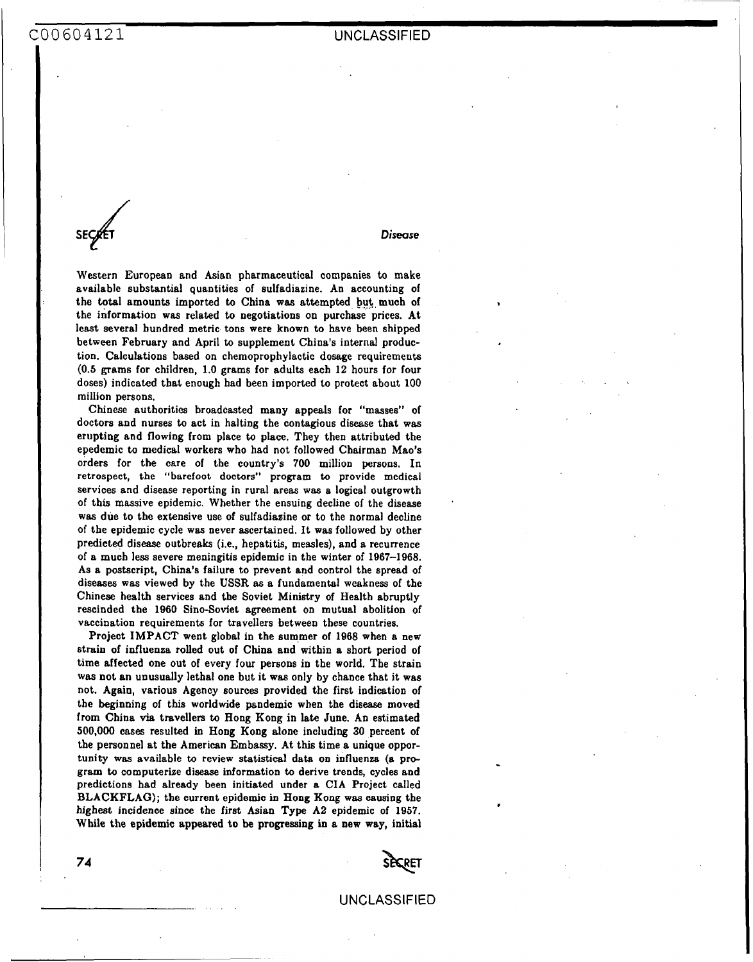**SE** *4 Disease* 

Western European and Asian pharmaceutical companies to make available substantial quantities of sulfadiazine. An accounting of the total amounts imported to China was attempted but **much** of the information was related to negotiations on purchase prices. At least several hundred metric tons were known to have been shipped between February and April to supplement China's internal production. Calculations based on chemoprophylactic dosage requirements **(0.5 grams** for children, **1.0** grams for adults each **12** hours for four doses) indicated that enough had been imported to protect about 100 million persons.

Chinese authorities broadcasted many appeals for "masses" of doctors and nurses *to* act in halting the contagious disease that was erupting and flowing from place **to** place. They then attributed the epedemic to medical workers who had not followed Chairman Mao's orders for the care of the country's 700 million **persons.** In retrospect, the "barefoot doctors" program to provide medical services and disease reporting in rural areas was a logical outgrowth of this massive epidemic. Whether the ensuing decline of the disease **was** due to the extensive use of Sulfadiazine or to the normal decline of the epidemic cycle **was** never ascertained. It was followed **by** other predicted disease outbreaks (i.e., hepatitis, measles), and a recurrence of a much less severe meningitis epidemic in the winter of **1967-1968.**  As **a** postscript, China's failure to prevent and control the spread of diseases was viewed by the **USSR as** a fundamental weakness of the Chinese health services and the Soviet Ministry of Health abruptly rescinded the **1960** Sino-Soviet agreement on mutual abolition of vaccination requirements for travellers between these countries.

Project IMPACT went global in the summer of **1968** when a new strain of influenza rolled out of China and within a short period **of**  time affected one out of every four **persons** in the world. The strain was not an unusually lethal one but it was only **by** chance that it was not. Again, various Agency sources provided the first indication of the beginning of this worldwide pandemic when the disease moved from China via travellem *to* Hong Kong in late June. **An** estimated 500,000 cases resulted in **Hong Kong** alone including **30** percent of the personnel at the American Embassy. At this time a unique opportunity was available to review statistical data on influenza (a pro**gram** *to* computerize disease information *to* derive trends, cycles and predictions had already been initiated under a CIA Project called **BLACKFLAG);** the current epidemic in Hong **Kong** was causing the highest incidence since the first Asian **Type** A2 epidemic of **1957.**  While the epidemic appeared to **be** progressing in a new way, initial



UNCLASSIFIED

**74**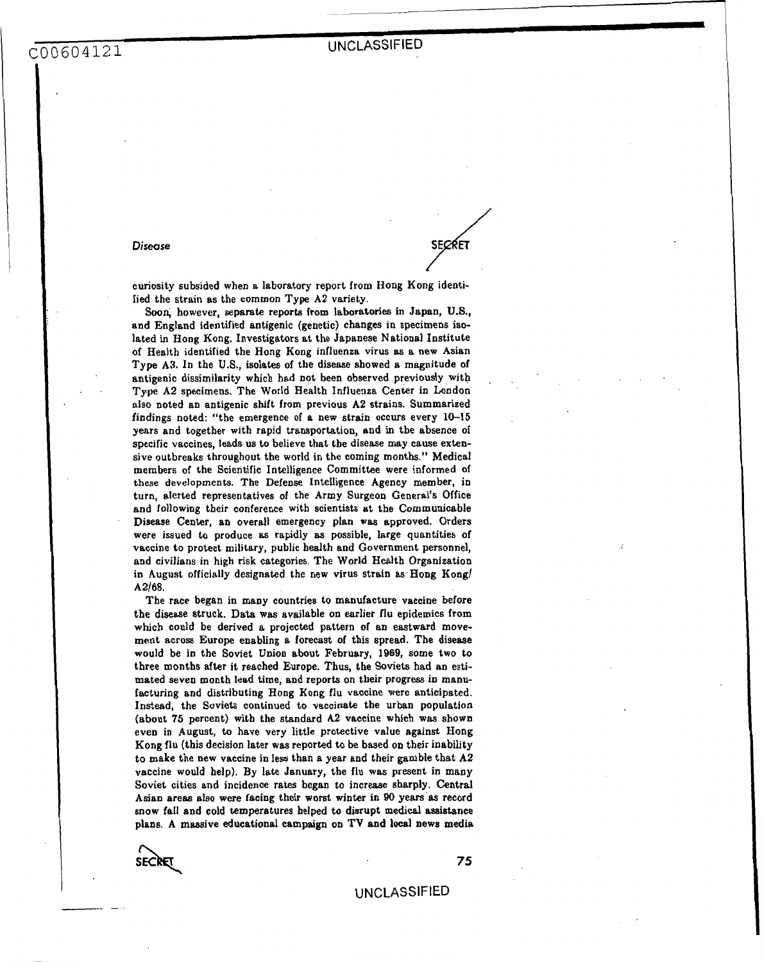### *Disease*

. .

curiosity subsided when a laboratory report from Hong Kong identified the strain as the common Type A2 variety.

**Sooi** however, separate reports from laboratories in Japan, **U.S.,**  and England identified antigenic (genetic) changes in specimens isolated in Hong Kong. Investigators at the Japanese National Institute of Health identified the Hong Kong influenza virus **as** a new Asian Type A3. **In** the **U.S.,** isolates of the disease showed a magnitude of antigenic dissimilarity which had not been observed previously with **Type A2** specimens. The World Health Influenza Center in London also noted an antigenic shift from previous **A2** strains. Summarized findings noted: "the emergence of a new strain occurs every **10-15**  years and together with rapid transportation, and in tbe absence of specific vaccines, leads us to believe that the disease may cause extensive outbreaks throughout the world in the coming months." Medical members of the Scientific Intelligence Committee were informed of these developments. The Defense Intelligence Agency member, in turn, alerted representatives of the Army Surgeon General's Office and following their conference with scientists at the Communicable Disease Center, an overdl emergency plan was approved. Orders were issued to produce **as** rapidly **as** possible, large quantities of vaccine to protect military, public health and Government personnel, and civilians in high **risk** categories. The World Health Organization in August officially designated the new virus strain as Hong Kong/ A2/68.

The race began in many countries to manufacture vaccine before the disease struck. Data was available on earlier flu epidemics from which could be derived a projected pattern of an eastward movement across Europe enabling a forecast of this spread. The disease would be in the Soviet Union about February, **1969,** some two to three months after it reached Europe. **Thus,** the Soviets had an estimated seven month lead time, and reports on their progress in manufacturing and distributing Hong **Kong** flu vaccine **were** anticipated. Instead, the Soviets continued to vaccinate the urban population (about **75** percent) with the standard *A2* vaccine which **was** shown even in August, to have very little protective value against Hong **Kong** flu (this decision later **was** reported to be based on their inability to make the new vaccine in less than a year and their gamble that **A2**  vaccine would help). By late January, the flu was present in many Soviet cities and incidence rates began to increase sharply. Central Asian areas also were facing their worst winter **in 90** years'as record snow fall and cold temperatures helped to disrupt medical assistance plans. A massive educational campaign on **TV** and **locsl** news media

SECRE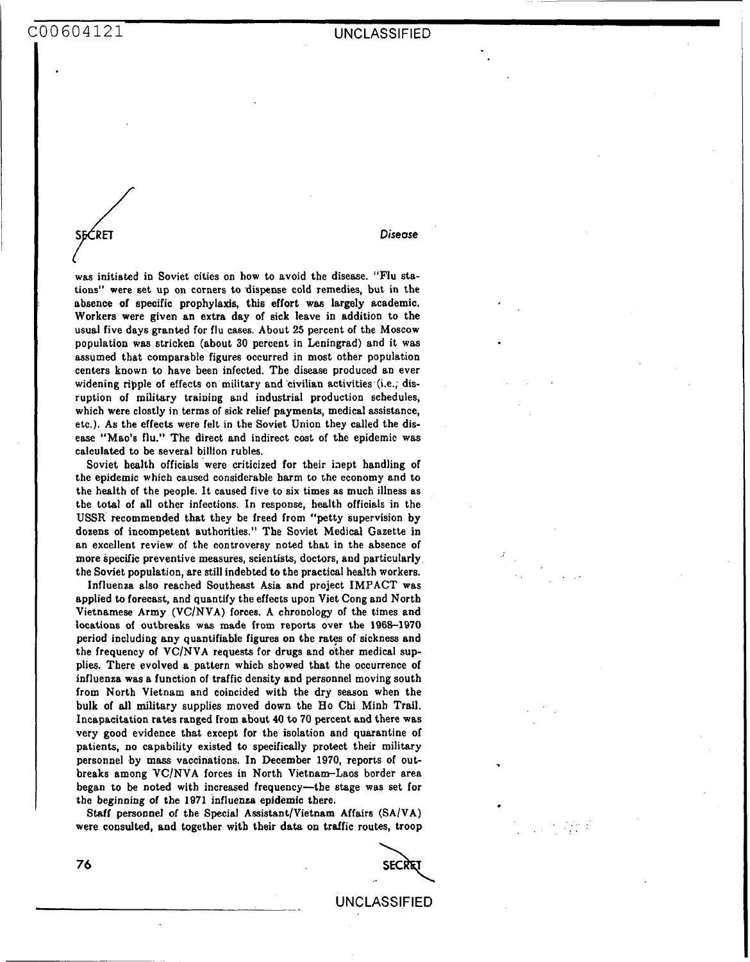//<br>RET

### *Disease*

was initiated in Soviet cities on how to avoid the disease. "Flu stations" were set up on corners to dispense cold remedies, but in the absence of specific prophylaxis, this effort was largely academic. Workers were given an extra day of sick leave in addition to the usual five days granted for flu cases. About **25** percent of the Moscow population was stricken (about 30 percent in Leningrad) and it was assumed that comparable figures occurred in most other population centers known to have been infected. The disease produced an ever widening ripple of effects on military and civilian activities (i.e., disruption of military training and industrial production schedules, which were clostly in terms of sick relief payments, medical assistance, etc.). **As** the effects were felt in the Soviet Union they called the disease "Mao'6 flu." The direct and indirect cost of the epidemic **was**  calculated to be several billion rubles.

Soviet health officials were criticized for their inept handling of the epidemic which caused considerable harm to the economy and to the health of the people. It caused five to six times **as** much illness as the total of all other infections. In response, health officials in the **USSR** recommended that they be freed from "petty supervision by dozens of incompetent authorities." The Soviet Medical Gazette in an excellent review of the controversy noted that in the absence of more specific preventive measures, scientists, doctors, and particularly the Soviet population, are still indebted to the practical health workers.

Influenza also reached Southeast Asia and project IMPACT was applied to forecast, and quantify the effects upon Viet Cong and North Vietnamese Army (VC/NVA) forces. A chronology of the times and locations of outbreaks was made from reports over the **1968-1970**  period including any quantifiable figures on the rates of sickness and the frequency of  $VC/NVA$  requests for drugs and other medical supplies. There evolved a pattern which showed that the occurrence of influenza **was a** function of traffic density and personnel moving south from North Vietnam and coincided with the **dry season** when the bulk of all military supplies moved down the Ho Chi Minh Trail. Incapacitation rates ranged from about **40** to **70** percent and there was very good evidence that except for the isolation and quarantine of patients, no capability existed to specifically protect their military personnel by mass vaccinations. In December **1970,** reports of out breaks among VCINVA forces in North Vietnam-Laos border area began to be noted with increased frequency-the stage was set for the beginning of the **1971** jnfluenza epidemic there.

Staff personnel of the Special Assistant/Vietnam Affairs (SA/VA) were consulted, and together with their data **on** traffic routes, troop

**SECRE** 

,. . .. ..

. UNCLASSIFIED

*76*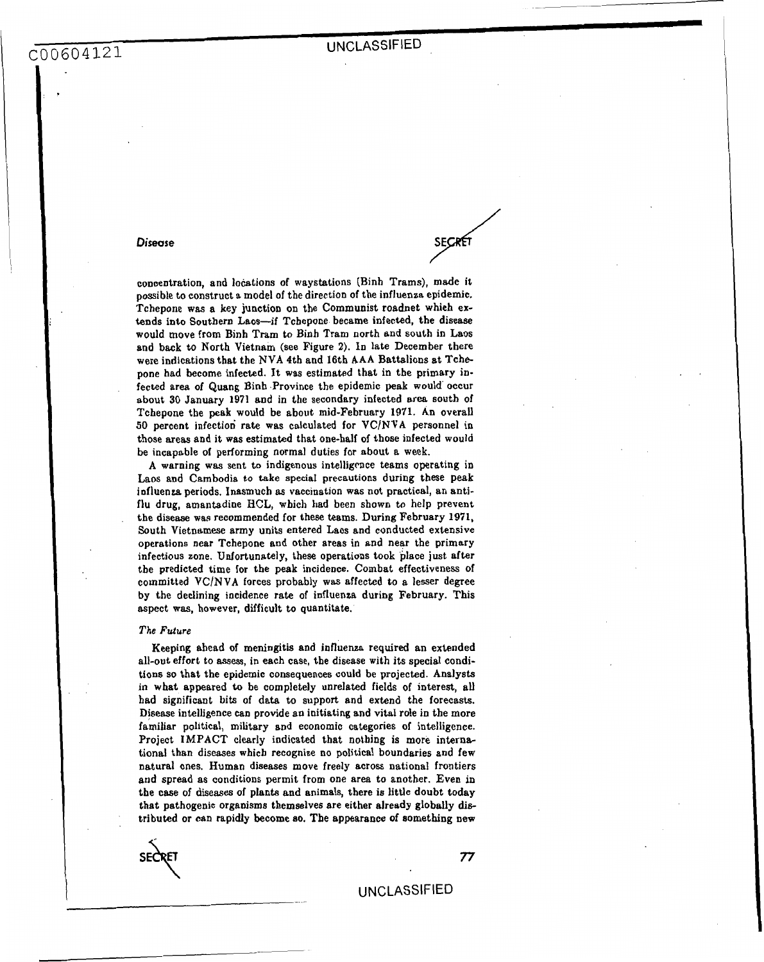# **UNCLASSIFIED**

SECRÉ

### **Disease**

concentration, and locations of waystations (Binh Trams), made it possible to construct a model of the direction of the influenza epidemic, Tchepone was **a** key junction on the Communist roadnet which extends into Southern Laos-if Tchepone became infected, the disease would move from Binh Tram to Binh Tram north and south in Laos and back to North Vietnam (see Figure **2).** In late December there were indications that the **NVA** 4th and 16th AAA Battalions at Tchepone bad become infected. It was estimated that in the primary infected area of Quang Binh -Province the epidemic peak would occur about **30** January **1971** and in the secondary infected area south of Tcbepone the peak would be about mid-February **1971. An** overall **50** percent infection rate was calculated for VClNVA personnel in those areas and it **was** estimated that one-half of those infected would be incapable of performing normal duties for about a week.

**A** warning was sent to indigenous intelligrnce teams operating in Laos and Cambodia to take special precautions during these **peak**  influenza periods. Inasmuch **as** vaccination was not practical, an antiflu drug, amantadine **HCL,** which had been **shown** to help prevent the diseaae was recommended for these teams. **During** February **1971,**  South Vietnamese army units entered Laos and conducted extensive operations near Tchepone and other areas in and near the primary infectious zone. Unfortunately, these operations took place just after the predicted time for the peak incidence. Combat effectiveness of committed **VClNVA** forces probably was affected to **a** lesser degree by the declining incidence rate of influenza during February. This aspect **was,** however, difficult to quantitate.

### *The Future*

Keeping ahead of meningitis and influenza required an extended all-out effort to **assess,** in each case, the disease with its special conditions **so** that the epidemic consequences could be projected. Analysts in what appeared to be completely unrelated fields of interest, **all had** significant bits of data to support and extend the forecasts. Djsease intelligence can provide an initiating and vital role in the more familiar political, military and economic categories of intelligence. Project **IMPACT** clearly indicated that notbing is more international than diseases whicb recognize **no** political boundaries and few natural ones. Human diseases move freely across national frontiers and spread as conditions permit from one area to another. Even in the case of diseases of plants and animals, there is little doubt today that pathogenic organisms themselves are either already globally die tributed or can rapidly become so. The appearance of something new